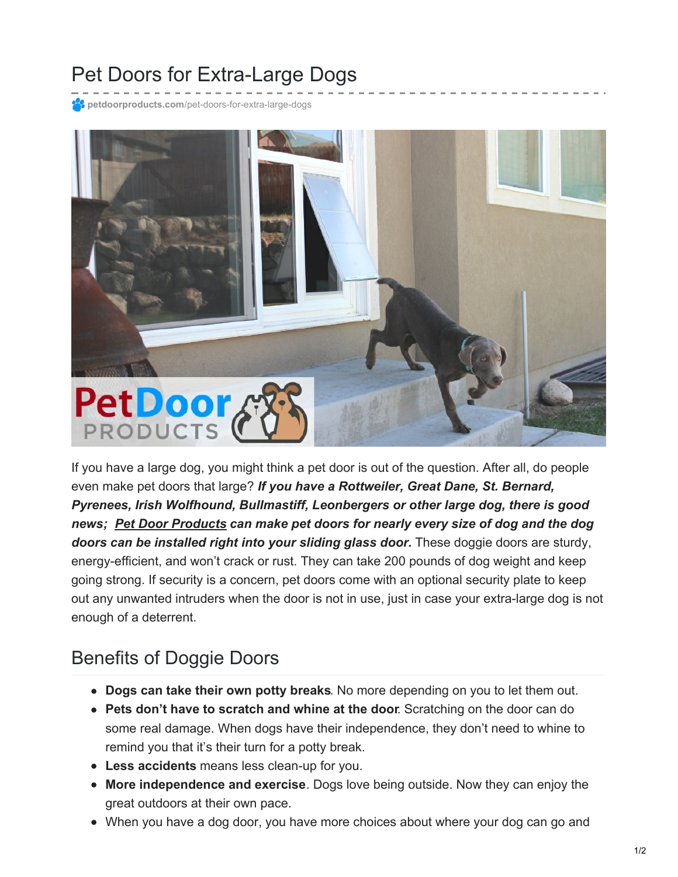## Pet Doors for Extra-Large Dogs

**petdoorproducts.com**[/pet-doors-for-extra-large-dogs](https://petdoorproducts.com/pet-doors-for-extra-large-dogs/)



If you have a large dog, you might think a pet door is out of the question. After all, do people even make pet doors that large? *If you have a Rottweiler, Great Dane, St. Bernard, Pyrenees, Irish Wolfhound, Bullmastiff, Leonbergers or other large dog, there is good news; Pet Door [Products](https://petdoorproducts.com/) can make pet doors for nearly every size of dog and the dog doors can be installed right into your sliding glass door.* These doggie doors are sturdy, energy-efficient, and won't crack or rust. They can take 200 pounds of dog weight and keep going strong. If security is a concern, pet doors come with an optional security plate to keep out any unwanted intruders when the door is not in use, just in case your extra-large dog is not enough of a deterrent.

## Benefits of Doggie Doors

- **Dogs can take their own potty breaks**. No more depending on you to let them out.
- **Pets don't have to scratch and whine at the door**. Scratching on the door can do some real damage. When dogs have their independence, they don't need to whine to remind you that it's their turn for a potty break.
- **Less accidents** means less clean-up for you.
- **More independence and exercise**. Dogs love being outside. Now they can enjoy the great outdoors at their own pace.
- When you have a dog door, you have more choices about where your dog can go and